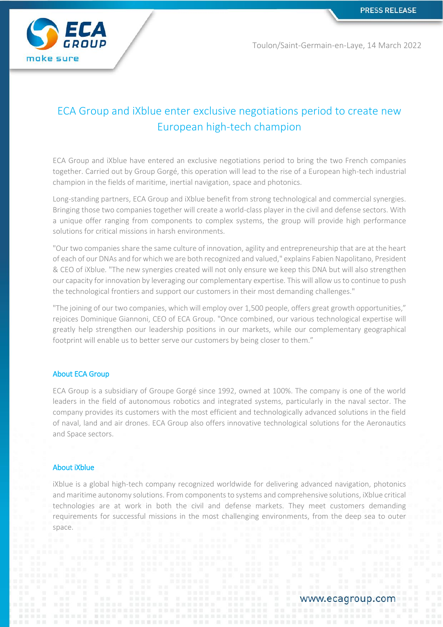

Toulon/Saint-Germain-en-Laye, 14 March 2022

# ECA Group and iXblue enter exclusive negotiations period to create new European high-tech champion

ECA Group and iXblue have entered an exclusive negotiations period to bring the two French companies together. Carried out by Group Gorgé, this operation will lead to the rise of a European high-tech industrial champion in the fields of maritime, inertial navigation, space and photonics.

Long-standing partners, ECA Group and iXblue benefit from strong technological and commercial synergies. Bringing those two companies together will create a world-class player in the civil and defense sectors. With a unique offer ranging from components to complex systems, the group will provide high performance solutions for critical missions in harsh environments.

"Our two companies share the same culture of innovation, agility and entrepreneurship that are at the heart of each of our DNAs and for which we are both recognized and valued," explains Fabien Napolitano, President & CEO of iXblue. "The new synergies created will not only ensure we keep this DNA but will also strengthen our capacity for innovation by leveraging our complementary expertise. This will allow us to continue to push the technological frontiers and support our customers in their most demanding challenges."

"The joining of our two companies, which will employ over 1,500 people, offers great growth opportunities," rejoices Dominique Giannoni, CEO of ECA Group. "Once combined, our various technological expertise will greatly help strengthen our leadership positions in our markets, while our complementary geographical footprint will enable us to better serve our customers by being closer to them."

## About ECA Group

ECA Group is a subsidiary of Groupe Gorgé since 1992, owned at 100%. The company is one of the world leaders in the field of autonomous robotics and integrated systems, particularly in the naval sector. The company provides its customers with the most efficient and technologically advanced solutions in the field of naval, land and air drones. ECA Group also offers innovative technological solutions for the Aeronautics and Space sectors.

### About iXblue

iXblue is a global high-tech company recognized worldwide for delivering advanced navigation, photonics and maritime autonomy solutions. From components to systems and comprehensive solutions, iXblue critical technologies are at work in both the civil and defense markets. They meet customers demanding requirements for successful missions in the most challenging environments, from the deep sea to outer space.